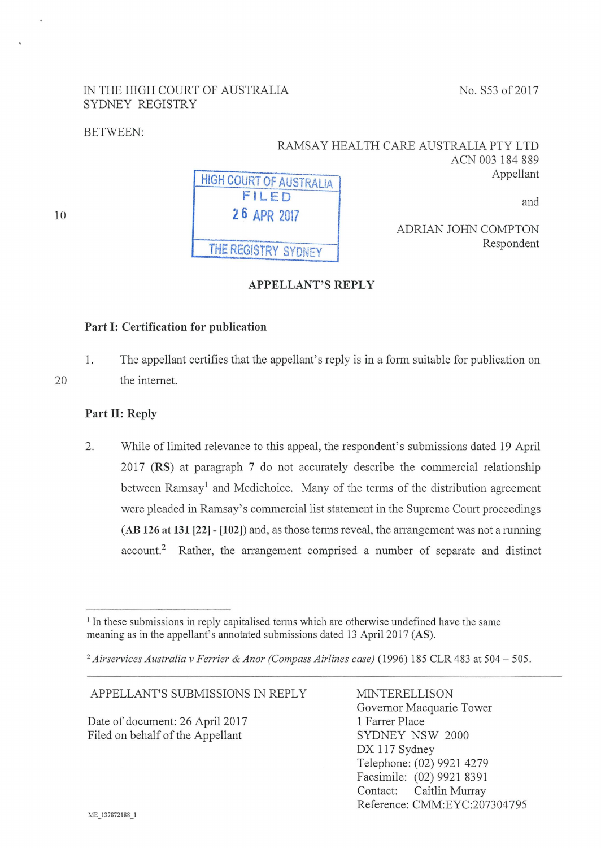## IN THE HIGH COURT OF AUSTRALIA SYDNEY REGISTRY

#### No. S53 of 2017

#### BETWEEN:

#### RAMSAY HEALTH CARE AUSTRALIA PTY LTD ACN 003 184 889 **HIGH COURT OF AUSTRALIA** FILED 2 6 APR 2017 THE REGISTRY SYDNEY Appellant and ADRIAN JOHN COMPTON Respondent

## APPELLANT'S REPLY

#### Part I: Certification for publication

1. The appellant certifies that the appellant's reply is in a form suitable for publication on the internet.

#### Part II: Reply

2. While of limited relevance to this appeal, the respondent's submissions dated 19 April 2017 (RS) at paragraph 7 do not accurately describe the commercial relationship between Ramsay<sup>1</sup> and Medichoice. Many of the terms of the distribution agreement were pleaded in Ramsay's commercial list statement in the Supreme Court proceedings (AB 126 at 131 [22)- [102]) and, as those terms reveal, the arrangement was not a running account.<sup>2</sup> Rather, the arrangement comprised a number of separate and distinct

Date of document: 26 April 2017 Filed on behalf of the Appellant

APPELLANT'S SUBMISSIONS IN REPLY

MINTERELLISON

10

<sup>&</sup>lt;sup>1</sup> In these submissions in reply capitalised terms which are otherwise undefined have the same meaning as in the appellant's annotated submissions dated 13 April 2017 (AS).

<sup>2</sup>*Airservices Australia v Ferrier* & *Anor (Compass Airlines case)* (1996) 185 CLR 483 at 504- 505.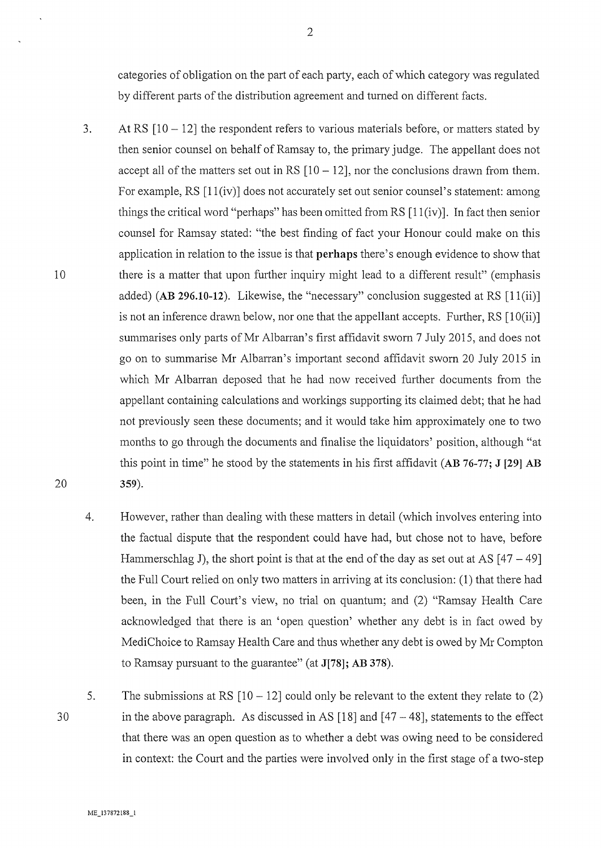categories of obligation on the part of each party, each of which category was regulated by different parts of the distribution agreement and turned on different facts.

- 3. At RS [ 10 12] the respondent refers to various materials before, or matters stated by then senior counsel on behalf of Ramsay to, the primary judge. The appellant does not accept all of the matters set out in RS  $[10 - 12]$ , nor the conclusions drawn from them. For example, RS [11(iv)] does not accurately set out senior counsel's statement: among things the critical word "perhaps" has been omitted from RS [ 11 (iv)]. In fact then senior counsel for Ramsay stated: "the best finding of fact your Honour could make on this application in relation to the issue is that **perhaps** there's enough evidence to show that 10 there is a matter that upon further inquiry might lead to a different result" (emphasis added) **(AB 296.10-12).** Likewise, the "necessary" conclusion suggested at RS [11(ii)] is not an inference drawn below, nor one that the appellant accepts. Further, RS  $[10(ii)]$ summarises only parts of Mr Albarran's first affidavit sworn 7 July 2015, and does not go on to summarise Mr Albarran's important second affidavit sworn 20 July 2015 in which Mr Albarran deposed that he had now received further documents from the appellant containing calculations and workings supporting its claimed debt; that he had not previously seen these documents; and it would take him approximately one to two months to go through the documents and finalise the liquidators' position, although "at this point in time" he stood by the statements in his first affidavit **(AB** 76-77; **J [29] AB 359).** 
	- 4. However, rather than dealing with these matters in detail (which involves entering into the factual dispute that the respondent could have had, but chose not to have, before Hammerschlag J), the short point is that at the end of the day as set out at AS  $[47-49]$ the Full Court relied on only two matters in arriving at its conclusion: (1) that there had been, in the Full Court's view, no trial on quantum; and (2) "Ramsay Health Care acknowledged that there is an 'open question' whether any debt is in fact owed by MediChoice to Ramsay Health Care and thus whether any debt is owed by Mr Compton to Ramsay pursuant to the guarantee" (at **J[78]; AB 378).**
	- 5. The submissions at RS  $[10 - 12]$  could only be relevant to the extent they relate to (2) in the above paragraph. As discussed in AS  $[18]$  and  $[47 - 48]$ , statements to the effect that there was an open question as to whether a debt was owing need to be considered in context: the Court and the parties were involved only in the first stage of a two-step

20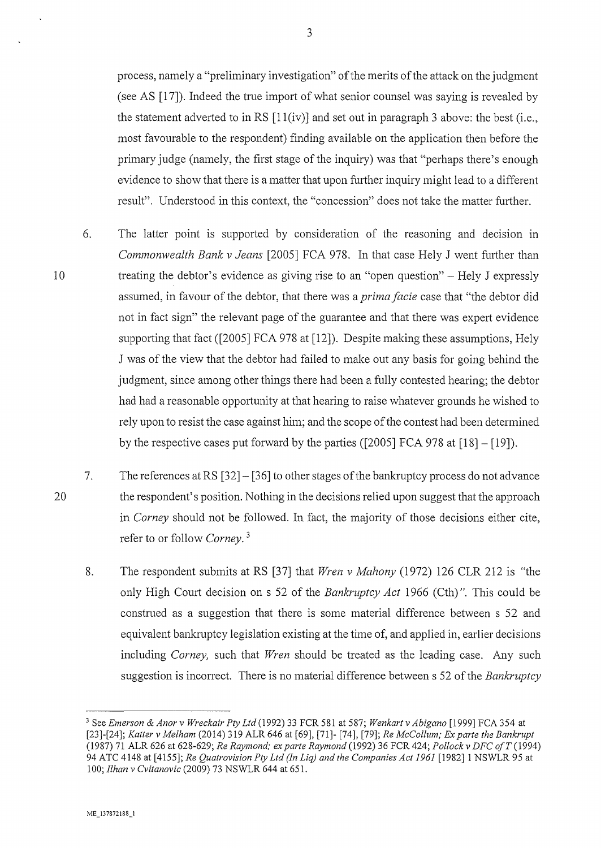process, namely a "preliminary investigation" of the merits of the attack on the judgment (see AS [17]). Indeed the true import of what senior counsel was saying is revealed by the statement adverted to in RS  $[11(iv)]$  and set out in paragraph 3 above: the best (i.e., most favourable to the respondent) finding available on the application then before the primary judge (namely, the first stage of the inquiry) was that "perhaps there's enough evidence to show that there is a matter that upon further inquiry might lead to a different result". Understood in this context, the "concession" does not take the matter further.

10

20

6. The latter point is supported by consideration of the reasoning and decision in *Commonwealth Bank v Jeans* [2005] FCA 978. In that case Hely J went further than treating the debtor's evidence as giving rise to an "open question"- Hely J expressly assumed, in favour of the debtor, that there was a *prima facie* case that "the debtor did not in fact sign" the relevant page of the guarantee and that there was expert evidence supporting that fact ([2005] FCA 978 at [12]). Despite making these assumptions, Hely J was of the view that the debtor had failed to make out any basis for going behind the judgment, since among other things there had been a fully contested hearing; the debtor had had a reasonable opportunity at that hearing to raise whatever grounds he wished to rely upon to resist the case against him; and the scope of the contest had been determined by the respective cases put forward by the parties ( $[2005]$  FCA 978 at  $[18] - [19]$ ).

- 7. The references at RS [32]- [36] to other stages of the bankruptcy process do not advance the respondent's position. Nothing in the decisions relied upon suggest that the approach in *Corney* should not be followed. In fact, the majority of those decisions either cite, refer to or follow *Corney.* <sup>3</sup>
	- 8. The respondent submits at RS [37] that *Wren v Mahony* (1972) 126 CLR 212 is "the only High Court decision on s 52 of the *Bankruptcy Act* 1966 (Cth) ". This could be construed as a suggestion that there is some material difference between s 52 and equivalent bankruptcy legislation existing at the time of, and applied in, earlier decisions including *Corney,* such that *Wren* should be treated as the leading case. Any such suggestion is incorrect. There is no material difference between s 52 of the *Bankruptcy*

<sup>3</sup> See *Emerson* & *Anor v Wreckair Pty Ltd* (1992) 33 FCR 581 at 587; *Wenkart v Abigano* [1999] FCA 354 at [23]-[24]; *Katter v Melham* (2014) 319 ALR 646 at [69], [71]- [74], [79]; *Re McCollum; Ex parte the Bankrupt*  (1987) 71 ALR 626 at 628-629; *Re Raymond; ex parte Raymond* (1992) 36 FCR 424; *Pollock v DFC ofT* (1994) 94 ATC 4148 at [4155]; *Re Quatrovision Pty Ltd (In Liq) and the Companies Act 1961* [1982] 1 NSWLR 95 at 100; *Ilhan v Cvitanovic* (2009) 73 NSWLR 644 at 651.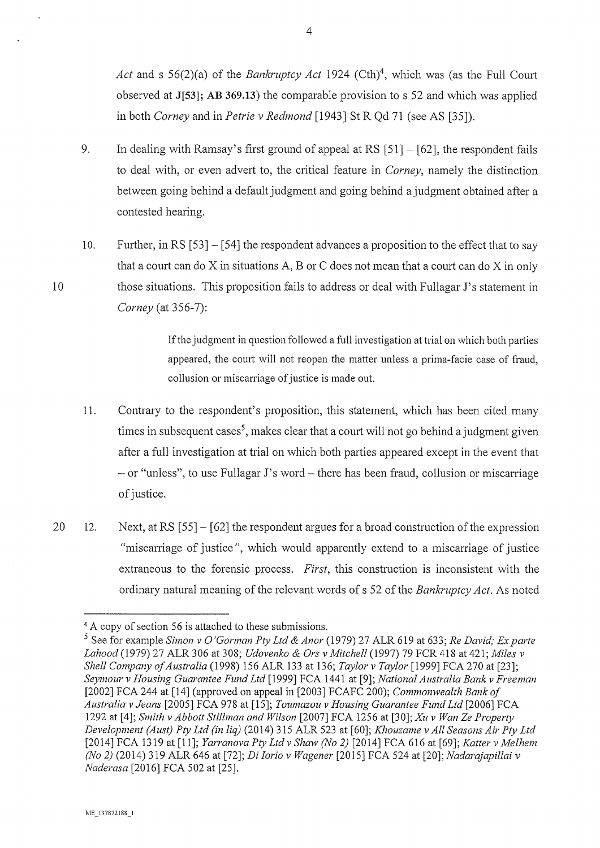*Act* and s 56(2)(a) of the *Bankruptcy Act* 1924 (Cth)<sup>4</sup>, which was (as the Full Court observed at **J[53]; AB 369.13)** the comparable provision to s 52 and which was applied in both *Corney* and in *Petrie v Redmond* [1943] St R Qd 71 (see AS [35]).

- 9. In dealing with Ramsay's first ground of appeal at RS [51]- [62], the respondent fails to deal with, or even advert to, the critical feature in *Corney*, namely the distinction between going behind a default judgment and going behind a judgment obtained after a contested hearing.
- 10. Further, in RS [53]- [54] the respondent advances a proposition to the effect that to say that a court can do X in situations A, B or C does not mean that a court can do X in only those situations. This proposition fails to address or deal with Fullagar J's statement in *Corney* (at 356-7):

If the judgment in question followed a full investigation at trial on which both parties appeared, the court will not reopen the matter unless a prima-facie case of fraud, collusion or miscarriage of justice is made out.

- 11. Contrary to the respondent's proposition, this statement, which has been cited many times in subsequent cases $^5$ , makes clear that a court will not go behind a judgment given after a full investigation at trial on which both parties appeared except in the event that -or "unless", to use Fullagar J's word- there has been fraud, collusion or miscarriage of justice.
- 20 12. Next, at RS [55]- [62] the respondent argues for a broad construction of the expression "miscarriage of justice", which would apparently extend to a miscarriage of justice extraneous to the forensic process. *First,* this construction is inconsistent with the ordinary natural meaning of the relevant words of s 52 of the *Bankruptcy Act.* As noted

4

<sup>4</sup>A copy of section 56 is attached to these submissions.

<sup>5</sup> See for example *Simon v* 0 *'Gorman Pty Ltd* & *Anor* (1979) 27 ALR 619 at 633; *Re David; Ex parte Lahood* (1979) 27 ALR 306 at 308; *Udovenko* & *Ors v Mitchell* (1997) 79 FCR 418 at 421; *Miles v Shell Company of Australia* (1998) 156 ALR 133 at 136; *Taylor v Taylor* [1999] FCA 270 at [23]; *Seymour v Housing Guarantee Fund Ltd* [1999] FCA 1441 at [9]; *National Australia Bank v Freeman*  [2002] FCA 244 at [14] (approved on appeal in [2003] FCAFC 200); *Commonwealth Bank of Australia v Jeans* [2005] FCA 978 at [15]; *Toumazou v Housing Guarantee Fund Ltd* [2006] FCA 1292 at [ 4]; *Smith v Ab bott Stillman and Wilson* [2007] FCA 1256 at [30]; *Xu v Wan Ze Property Development (Aust) Pty Ltd (in liq)* (2014) 315 ALR 523 at [60]; *Khouzame v All Seasons Air Pty Ltd*  [2014] FCA 1319 at [11]; *Yarranova Pty Ltd v Shaw (No 2)* [2014] FCA 616 at [69]; *Katter v Me/hem (No 2)* (2014) 319 ALR 646 at [72]; *Di Iorio v Wagener* [2015] FCA 524 at [20]; *Nadarajapillai v Naderasa* [2016] FCA 502 at [25].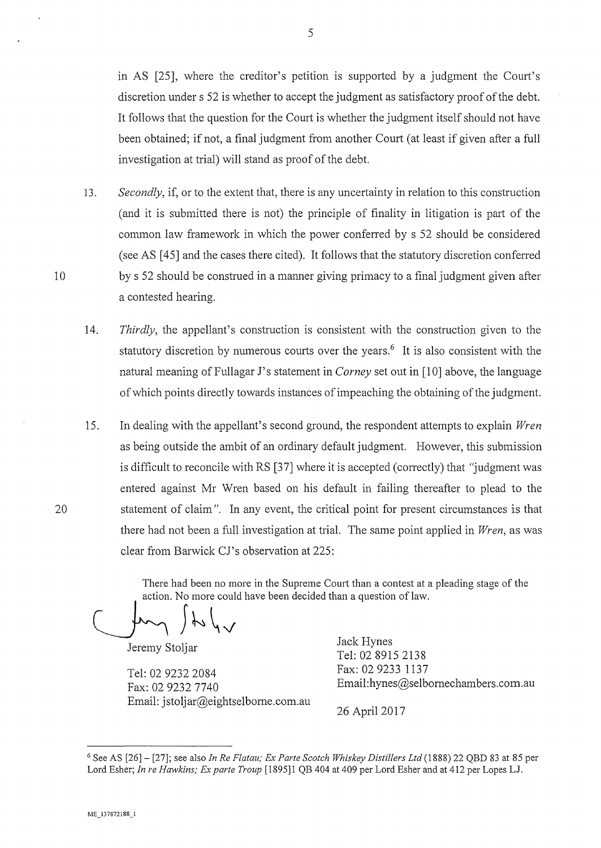in AS [25], where the creditor's petition is supported by a judgment the Court's discretion under s 52 is whether to accept the judgment as satisfactory proof of the debt. It follows that the question for the Court is whether the judgment itself should not have been obtained; if not, a final judgment from another Court (at least if given after a full investigation at trial) will stand as proof of the debt.

- 13. *Secondly,* if, or to the extent that, there is any uncertainty in relation to this construction (and it is submitted there is not) the principle of finality in litigation is part of the common law framework in which the power conferred by s 52 should be considered (see AS [45] and the cases there cited). It follows that the statutory discretion conferred by s 52 should be construed in a manner giving primacy to a final judgment given after a contested hearing.
- 14. *Thirdly,* the appellant's construction is consistent with the construction given to the statutory discretion by numerous courts over the years.<sup>6</sup> It is also consistent with the natural meaning of Fullagar J's statement in *Corney* set out in [10] above, the language of which points directly towards instances of impeaching the obtaining of the judgment.
- 15. In dealing with the appellant's second ground, the respondent attempts to explain *Wren*  as being outside the ambit of an ordinary default judgment. However, this submission is difficult to reconcile with RS [37] where it is accepted (correctly) that "judgment was entered against Mr Wren based on his default in failing thereafter to plead to the statement of claim". In any event, the critical point for present circumstances is that there had not been a full investigation at trial. The same point applied in *Wren,* as was clear from Barwick CJ's observation at 225:

There had been no more in the Supreme Court than a contest at a pleading stage of the action. No more could have been decided than a question of law.

 $\frac{1}{2}$ 

Jeremy Stoljar

Tel: 02 9232 2084 Fax: 02 9232 7740 Email: jstoljar@eightselborne.com.au Jack Hynes Tel: 02 8915 2138 Fax: 02 9233 1137 Email:hynes@selbomechambers.com.au

26 April 2017

10

<sup>6</sup> See AS [26]- [27]; see also *In Re Flatau; Ex Parte Scotch Whiskey Distillers Ltd* (1888) 22 QBD 83 at 85 per Lord Esher; *In re Hawkins; Ex parte Troup* [1895]1 QB 404 at 409 per Lord Esher and at 412 per Lopes LJ.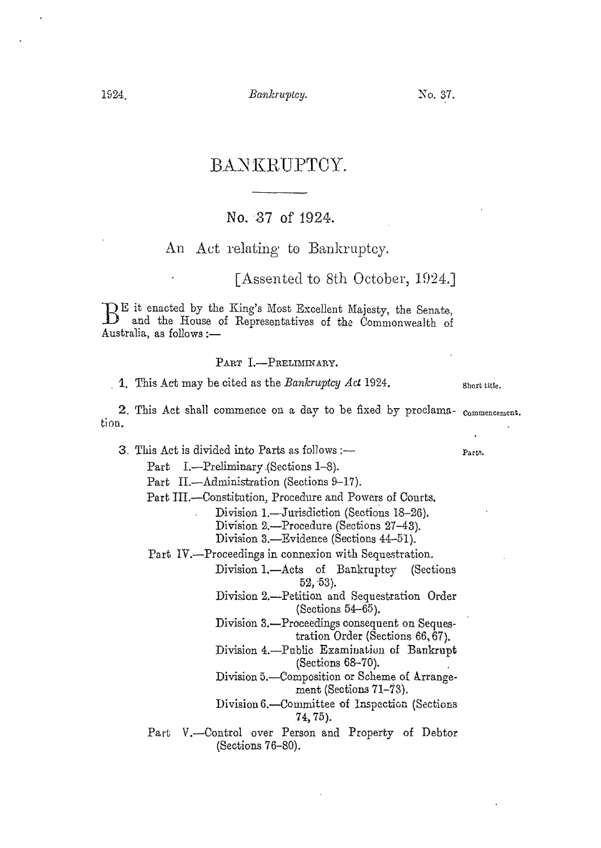1924<sub>,</sub> *Bankruptcy.* No. 37.

# BANKRUPTCY.

# No. 37 of 1924.

## An Act relating to Bankruptcy.

## [Assented to 8th October, 1924.]

BE it enacted by the King's Most Excellent Majesty, the Senate, and the House of Representatives of the Commonwealth of Australia, as follows :-

#### PART I.-PRELIMINARY.

1. This Act may be cited as the *Bankruptcy Act* 1924. Short title.

2. This Act shall commence on a day to be fixed by proclama- Commencement. tion.

3. This Act is divided into Parts as follows : $-$  Parts.

Part I.—Preliminary .(Sections 1-8).

Part II.—Administration (Sections 9–17).

Part III.—Constitution, Procedure and Powers of Courts.

Division 1.—Jurisdiction (Sections 18-26).

Division 2.-Procedure (Sections 27-43).

- Division 3.—Evidence (Sections 44-51).
- Part IV.—Proceedings in connexion with Sequestration.
	- Division 1.-Acts of Bankruptcy (Sections  $52, 53$ ).
	- Division 2.-Petition and Sequestration Order (Sections 54-65).
	- Division 3.—Proceedings consequent on Sequestration Order (Sections 66, 67).
	- Division 4.--Public Examination of Bankrupt (Sections 68-70).
	- Division 5.-Composition or Scheme of Arrangement (Sections 71-73).
	- Division 6.-Committee of Inspection (Sections 7 4, 75).
- Part V.-Control over Person and Property of Debtor (Sections 76-80),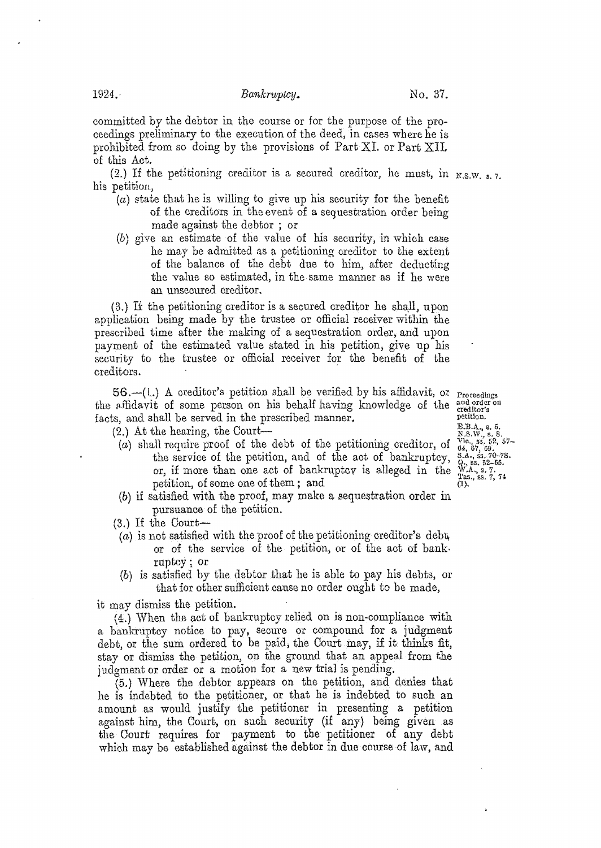committed by the debtor in the course or for the purpose of the proceedings preliminary to the execution of the deed, in cases where he is prohibited from so doing by the provisions of Part XL or Part XIL of tbis Act.

(2.) If the petitioning creditor is a secured creditor, he must, in  $N.S.W. s. 7.$ his petition,

- $(a)$  state that he is willing to give up his security for the benefit of the creditors in the event of a sequestration order being made against the debtor ; or
- (b) give an estimate of the value of his security, in which case he may be admitted as a petitioning creditor to the extent of the balance of the debt due to him, after deducting the value so estimated, in the same manner as if he were an unsecured creditor.

 $(3.)$  If the petitioning creditor is a secured creditor he shall, upon application being made by the trustee or official receiver within the prescribed time after the making of a sequestration order, and upon payment of the estimated value stated in his petition, give up his security to the trustee or official receiver for the benefit of the creditors.

56.-(1.) A creditor's petition shall be verified by his affidavit, or Proceedings the affidavit of some person on his behalf having knowledge of the  $^{aug~order~on}_{\text{creditor's}}$ facts, and shall be served in the prescribed manner. petition.

- )–78.<br>65.

- 
- (2.) At the hearing, the Court--<br>(a) shall require proof of the debt of the petitioning creditor, of the service of the petition, and of the act of bankruptcy, or, if more than one act of bankruptcy is alleged in the  $\frac{\hat{W}}{\text{ras}}$  petition, of some one of them; and (1).
- (b) if satisfied with the proof, may make a sequestration order in pursuance of the petition.
- $(3.)$  If the Court-
- $(a)$  is not satisfied with the proof of the petitioning creditor's debt; or of the service of the petition, or of the act of bank ruptcy; or
- (b) is satisfied by the debtor that he is able to pay his debts, or that for other sufficient cause no order ought to be made,

it may dismiss the petition.

(4.} When the act of bankruptcy relied on is non-compliance with a bankruptcy notice to pay, secure or compound for a judgment debt, or the sum ordered to be paid, the Court may, if it thinks fit, stay or dismiss the petition, on the ground that an appeal from the judgment or order or a motion for a new trial is pending.

 $(5)$ .) Where the debtor appears on the petition, and denies that he is indebted to the petitioner, or that he is indebted to such an amount as would justify the petitioner in presenting a petition against him, the Court, on such security (i£ any) being given as the Court requires for payment to the petitioner of any debt which may be established against the debtor in due course of law, and